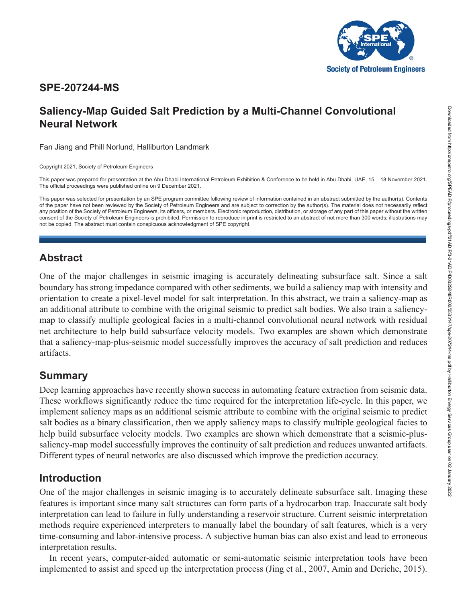

## **SPE-207244-MS**

# **Saliency-Map Guided Salt Prediction by a Multi-Channel Convolutional Neural Network**

Fan Jiang and Phill Norlund, Halliburton Landmark

Copyright 2021, Society of Petroleum Engineers

This paper was prepared for presentation at the Abu Dhabi International Petroleum Exhibition & Conference to be held in Abu Dhabi, UAE, 15 – 18 November 2021. The official proceedings were published online on 9 December 2021.

This paper was selected for presentation by an SPE program committee following review of information contained in an abstract submitted by the author(s). Contents of the paper have not been reviewed by the Society of Petroleum Engineers and are subject to correction by the author(s). The material does not necessarily reflect any position of the Society of Petroleum Engineers, its officers, or members. Electronic reproduction, distribution, or storage of any part of this paper without the written consent of the Society of Petroleum Engineers is prohibited. Permission to reproduce in print is restricted to an abstract of not more than 300 words; illustrations may not be copied. The abstract must contain conspicuous acknowledgment of SPE copyright.

## **Abstract**

One of the major challenges in seismic imaging is accurately delineating subsurface salt. Since a salt boundary has strong impedance compared with other sediments, we build a saliency map with intensity and orientation to create a pixel-level model for salt interpretation. In this abstract, we train a saliency-map as an additional attribute to combine with the original seismic to predict salt bodies. We also train a saliencymap to classify multiple geological facies in a multi-channel convolutional neural network with residual net architecture to help build subsurface velocity models. Two examples are shown which demonstrate that a saliency-map-plus-seismic model successfully improves the accuracy of salt prediction and reduces artifacts.

# **Summary**

Deep learning approaches have recently shown success in automating feature extraction from seismic data. These workflows significantly reduce the time required for the interpretation life-cycle. In this paper, we implement saliency maps as an additional seismic attribute to combine with the original seismic to predict salt bodies as a binary classification, then we apply saliency maps to classify multiple geological facies to help build subsurface velocity models. Two examples are shown which demonstrate that a seismic-plussaliency-map model successfully improves the continuity of salt prediction and reduces unwanted artifacts. Different types of neural networks are also discussed which improve the prediction accuracy.

## **Introduction**

One of the major challenges in seismic imaging is to accurately delineate subsurface salt. Imaging these features is important since many salt structures can form parts of a hydrocarbon trap. Inaccurate salt body interpretation can lead to failure in fully understanding a reservoir structure. Current seismic interpretation methods require experienced interpreters to manually label the boundary of salt features, which is a very time-consuming and labor-intensive process. A subjective human bias can also exist and lead to erroneous interpretation results.

In recent years, computer-aided automatic or semi-automatic seismic interpretation tools have been implemented to assist and speed up the interpretation process (Jing et al., 2007, Amin and Deriche, 2015).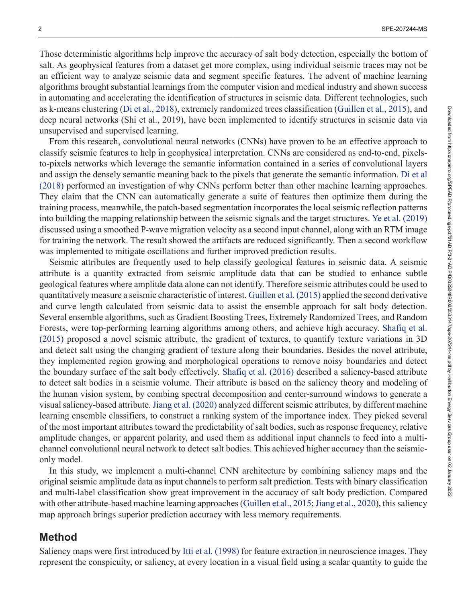Those deterministic algorithms help improve the accuracy of salt body detection, especially the bottom of salt. As geophysical features from a dataset get more complex, using individual seismic traces may not be an efficient way to analyze seismic data and segment specific features. The advent of machine learning algorithms brought substantial learnings from the computer vision and medical industry and shown success in automating and accelerating the identification of structures in seismic data. Different technologies, such as k-means clustering ([Di et al., 2018\)](#page-8-0), extremely randomized trees classification [\(Guillen et al., 2015\)](#page-8-1), and deep neural networks (Shi et al., 2019), have been implemented to identify structures in seismic data via unsupervised and supervised learning.

From this research, convolutional neural networks (CNNs) have proven to be an effective approach to classify seismic features to help in geophysical interpretation. CNNs are considered as end-to-end, pixelsto-pixels networks which leverage the semantic information contained in a series of convolutional layers and assign the densely semantic meaning back to the pixels that generate the semantic information. [Di et al](#page-8-2) [\(2018\)](#page-8-2) performed an investigation of why CNNs perform better than other machine learning approaches. They claim that the CNN can automatically generate a suite of features then optimize them during the training process, meanwhile, the patch-based segmentation incorporates the local seismic reflection patterns into building the mapping relationship between the seismic signals and the target structures. [Ye et al. \(2019\)](#page-8-3) discussed using a smoothed P-wave migration velocity as a second input channel, along with an RTM image for training the network. The result showed the artifacts are reduced significantly. Then a second workflow was implemented to mitigate oscillations and further improved prediction results.

Seismic attributes are frequently used to help classify geological features in seismic data. A seismic attribute is a quantity extracted from seismic amplitude data that can be studied to enhance subtle geological features where amplitde data alone can not identify. Therefore seismic attributes could be used to quantitatively measure a seismic characteristic of interest. [Guillen et al. \(2015\)](#page-8-1) applied the second derivative and curve length calculated from seismic data to assist the ensemble approach for salt body detection. Several ensemble algorithms, such as Gradient Boosting Trees, Extremely Randomized Trees, and Random Forests, were top-performing learning algorithms among others, and achieve high accuracy. [Shafiq et al.](#page-8-4) [\(2015\)](#page-8-4) proposed a novel seismic attribute, the gradient of textures, to quantify texture variations in 3D and detect salt using the changing gradient of texture along their boundaries. Besides the novel attribute, they implemented region growing and morphological operations to remove noisy boundaries and detect the boundary surface of the salt body effectively. [Shafiq et al. \(2016\)](#page-8-5) described a saliency-based attribute to detect salt bodies in a seismic volume. Their attribute is based on the saliency theory and modeling of the human vision system, by combing spectral decomposition and center-surround windows to generate a visual saliency-based attribute. [Jiang et al. \(2020\)](#page-8-6) analyzed different seismic attributes, by different machine learning ensemble classifiers, to construct a ranking system of the importance index. They picked several of the most important attributes toward the predictability of salt bodies, such as response frequency, relative amplitude changes, or apparent polarity, and used them as additional input channels to feed into a multichannel convolutional neural network to detect salt bodies. This achieved higher accuracy than the seismiconly model.

In this study, we implement a multi-channel CNN architecture by combining saliency maps and the original seismic amplitude data as input channels to perform salt prediction. Tests with binary classification and multi-label classification show great improvement in the accuracy of salt body prediction. Compared with other attribute-based machine learning approaches ([Guillen et al., 2015](#page-8-1); [Jiang et al., 2020\)](#page-8-6), this saliency map approach brings superior prediction accuracy with less memory requirements.

#### **Method**

Saliency maps were first introduced by [Itti et al. \(1998\)](#page-8-7) for feature extraction in neuroscience images. They represent the conspicuity, or saliency, at every location in a visual field using a scalar quantity to guide the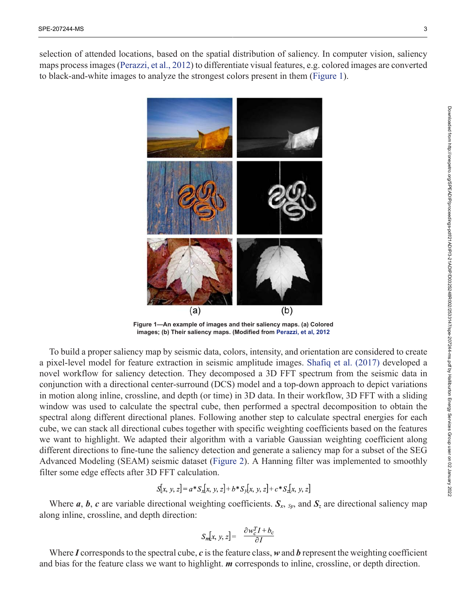<span id="page-2-0"></span>selection of attended locations, based on the spatial distribution of saliency. In computer vision, saliency maps process images ([Perazzi, et al., 2012](#page-8-8)) to differentiate visual features, e.g. colored images are converted to black-and-white images to analyze the strongest colors present in them [\(Figure 1](#page-2-0)).



**Figure 1—An example of images and their saliency maps. (a) Colored images; (b) Their saliency maps. (Modified from [Perazzi, et al, 2012](#page-8-8)**

To build a proper saliency map by seismic data, colors, intensity, and orientation are considered to create a pixel-level model for feature extraction in seismic amplitude images. [Shafiq et al. \(2017\)](#page-8-9) developed a novel workflow for saliency detection. They decomposed a 3D FFT spectrum from the seismic data in conjunction with a directional center-surround (DCS) model and a top-down approach to depict variations in motion along inline, crossline, and depth (or time) in 3D data. In their workflow, 3D FFT with a sliding window was used to calculate the spectral cube, then performed a spectral decomposition to obtain the spectral along different directional planes. Following another step to calculate spectral energies for each cube, we can stack all directional cubes together with specific weighting coefficients based on the features we want to highlight. We adapted their algorithm with a variable Gaussian weighting coefficient along different directions to fine-tune the saliency detection and generate a saliency map for a subset of the SEG Advanced Modeling (SEAM) seismic dataset ([Figure 2\)](#page-3-0). A Hanning filter was implemented to smoothly filter some edge effects after 3D FFT calculation.

$$
S[x, y, z] = a * S_x[x, y, z] + b * S_y[x, y, z] + c * S_z[x, y, z]
$$

Where *a*, *b*, *c* are variable directional weighting coefficients.  $S_x$ ,  $_{Sy}$ , and  $S_z$  are directional saliency map along inline, crossline, and depth direction:

$$
S_m[x, y, z] = \frac{\partial w_c^T I + b_c}{\partial I}
$$

Where *I* corresponds to the spectral cube, *c* is the feature class, *w* and *b* represent the weighting coefficient and bias for the feature class we want to highlight. *m* corresponds to inline, crossline, or depth direction.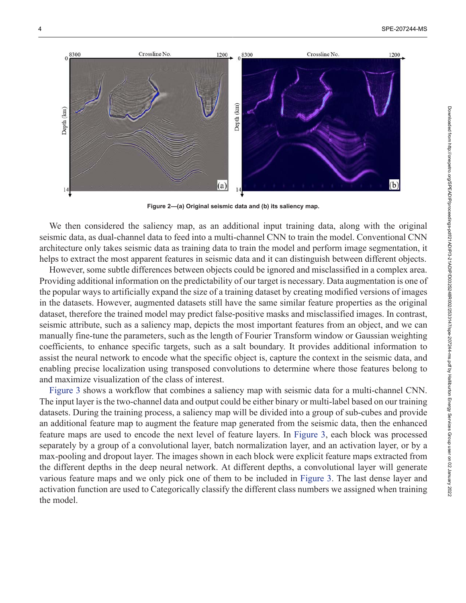<span id="page-3-0"></span>

**Figure 2—(a) Original seismic data and (b) its saliency map.**

We then considered the saliency map, as an additional input training data, along with the original seismic data, as dual-channel data to feed into a multi-channel CNN to train the model. Conventional CNN architecture only takes seismic data as training data to train the model and perform image segmentation, it helps to extract the most apparent features in seismic data and it can distinguish between different objects.

However, some subtle differences between objects could be ignored and misclassified in a complex area. Providing additional information on the predictability of our target is necessary. Data augmentation is one of the popular ways to artificially expand the size of a training dataset by creating modified versions of images in the datasets. However, augmented datasets still have the same similar feature properties as the original dataset, therefore the trained model may predict false-positive masks and misclassified images. In contrast, seismic attribute, such as a saliency map, depicts the most important features from an object, and we can manually fine-tune the parameters, such as the length of Fourier Transform window or Gaussian weighting coefficients, to enhance specific targets, such as a salt boundary. It provides additional information to assist the neural network to encode what the specific object is, capture the context in the seismic data, and enabling precise localization using transposed convolutions to determine where those features belong to and maximize visualization of the class of interest.

[Figure 3](#page-4-0) shows a workflow that combines a saliency map with seismic data for a multi-channel CNN. The input layer is the two-channel data and output could be either binary or multi-label based on our training datasets. During the training process, a saliency map will be divided into a group of sub-cubes and provide an additional feature map to augment the feature map generated from the seismic data, then the enhanced feature maps are used to encode the next level of feature layers. In [Figure 3,](#page-4-0) each block was processed separately by a group of a convolutional layer, batch normalization layer, and an activation layer, or by a max-pooling and dropout layer. The images shown in each block were explicit feature maps extracted from the different depths in the deep neural network. At different depths, a convolutional layer will generate various feature maps and we only pick one of them to be included in [Figure 3.](#page-4-0) The last dense layer and activation function are used to Categorically classify the different class numbers we assigned when training the model.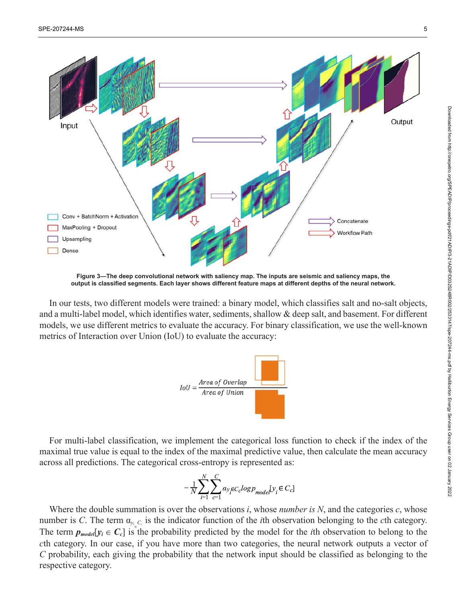<span id="page-4-0"></span>

**Figure 3—The deep convolutional network with saliency map. The inputs are seismic and saliency maps, the output is classified segments. Each layer shows different feature maps at different depths of the neural network.**

In our tests, two different models were trained: a binary model, which classifies salt and no-salt objects, and a multi-label model, which identifies water, sediments, shallow & deep salt, and basement. For different models, we use different metrics to evaluate the accuracy. For binary classification, we use the well-known metrics of Interaction over Union (IoU) to evaluate the accuracy:



For multi-label classification, we implement the categorical loss function to check if the index of the maximal true value is equal to the index of the maximal predictive value, then calculate the mean accuracy across all predictions. The categorical cross-entropy is represented as:

$$
-\frac{1}{N}\sum_{i=1}^{N}\sum_{c=1}^{C}\alpha_{\mathcal{Y}_{i}\in C_{c}}logp_{model}[\mathcal{Y}_{i}\in C_{c}]
$$

Where the double summation is over the observations *i*, whose *number is N*, and the categories *c*, whose number is *C*. The term α*<sup>y</sup><sup>i</sup> Cc* is the indicator function of the *i*th observation belonging to the *c*th category. The term  $p_{model}[y_i \in C_c]$  is the probability predicted by the model for the *i*th observation to belong to the *c*th category. In our case, if you have more than two categories, the neural network outputs a vector of *C* probability, each giving the probability that the network input should be classified as belonging to the respective category.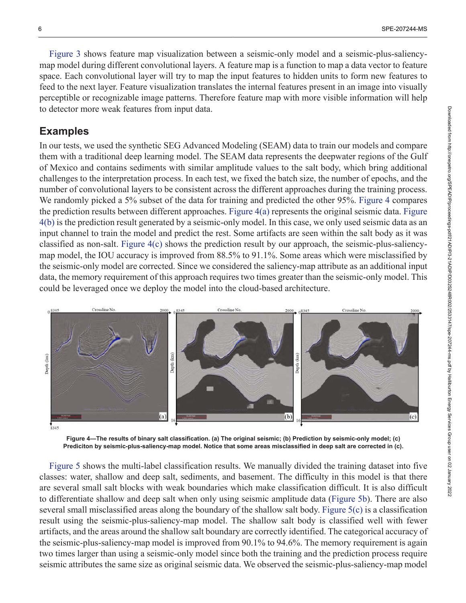[Figure 3](#page-4-0) shows feature map visualization between a seismic-only model and a seismic-plus-saliencymap model during different convolutional layers. A feature map is a function to map a data vector to feature space. Each convolutional layer will try to map the input features to hidden units to form new features to feed to the next layer. Feature visualization translates the internal features present in an image into visually perceptible or recognizable image patterns. Therefore feature map with more visible information will help to detector more weak features from input data.

#### **Examples**

In our tests, we used the synthetic SEG Advanced Modeling (SEAM) data to train our models and compare them with a traditional deep learning model. The SEAM data represents the deepwater regions of the Gulf of Mexico and contains sediments with similar amplitude values to the salt body, which bring additional challenges to the interpretation process. In each test, we fixed the batch size, the number of epochs, and the number of convolutional layers to be consistent across the different approaches during the training process. We randomly picked a 5% subset of the data for training and predicted the other 95%. [Figure 4](#page-5-0) compares the prediction results between different approaches. [Figure 4\(a\)](#page-5-0) represents the original seismic data. [Figure](#page-5-0) [4\(b\)](#page-5-0) is the prediction result generated by a seismic-only model. In this case, we only used seismic data as an input channel to train the model and predict the rest. Some artifacts are seen within the salt body as it was classified as non-salt. [Figure 4\(c\)](#page-5-0) shows the prediction result by our approach, the seismic-plus-saliencymap model, the IOU accuracy is improved from 88.5% to 91.1%. Some areas which were misclassified by the seismic-only model are corrected. Since we considered the saliency-map attribute as an additional input data, the memory requirement of this approach requires two times greater than the seismic-only model. This could be leveraged once we deploy the model into the cloud-based architecture.

<span id="page-5-0"></span>

**Figure 4—The results of binary salt classification. (a) The original seismic; (b) Prediction by seismic-only model; (c) Prediciton by seismic-plus-saliency-map model. Notice that some areas misclassified in deep salt are corrected in (c).**

[Figure 5](#page-6-0) shows the multi-label classification results. We manually divided the training dataset into five classes: water, shallow and deep salt, sediments, and basement. The difficulty in this model is that there are several small salt blocks with weak boundaries which make classification difficult. It is also difficult to differentiate shallow and deep salt when only using seismic amplitude data ([Figure 5b](#page-6-0)). There are also several small misclassified areas along the boundary of the shallow salt body. [Figure 5\(c\)](#page-6-0) is a classification result using the seismic-plus-saliency-map model. The shallow salt body is classified well with fewer artifacts, and the areas around the shallow salt boundary are correctly identified. The categorical accuracy of the seismic-plus-saliency-map model is improved from 90.1% to 94.6%. The memory requirement is again two times larger than using a seismic-only model since both the training and the prediction process require seismic attributes the same size as original seismic data. We observed the seismic-plus-saliency-map model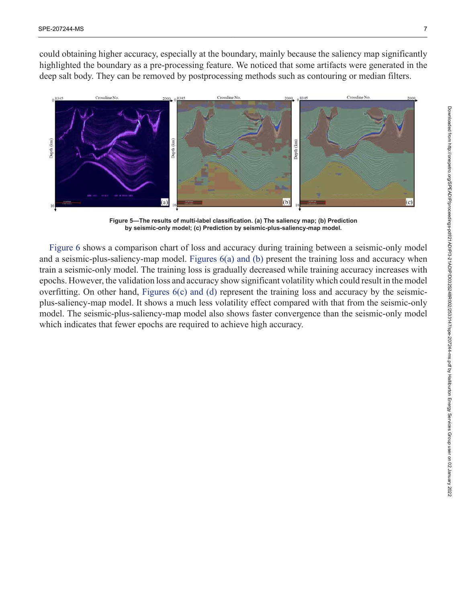could obtaining higher accuracy, especially at the boundary, mainly because the saliency map significantly highlighted the boundary as a pre-processing feature. We noticed that some artifacts were generated in the deep salt body. They can be removed by postprocessing methods such as contouring or median filters.

<span id="page-6-0"></span>

**Figure 5—The results of multi-label classification. (a) The saliency map; (b) Prediction by seismic-only model; (c) Prediction by seismic-plus-saliency-map model.**

[Figure 6](#page-7-0) shows a comparison chart of loss and accuracy during training between a seismic-only model and a seismic-plus-saliency-map model. [Figures 6\(a\) and \(b\)](#page-7-0) present the training loss and accuracy when train a seismic-only model. The training loss is gradually decreased while training accuracy increases with epochs. However, the validation loss and accuracy show significant volatility which could result in the model overfitting. On other hand, Figures  $6(c)$  and (d) represent the training loss and accuracy by the seismicplus-saliency-map model. It shows a much less volatility effect compared with that from the seismic-only model. The seismic-plus-saliency-map model also shows faster convergence than the seismic-only model which indicates that fewer epochs are required to achieve high accuracy.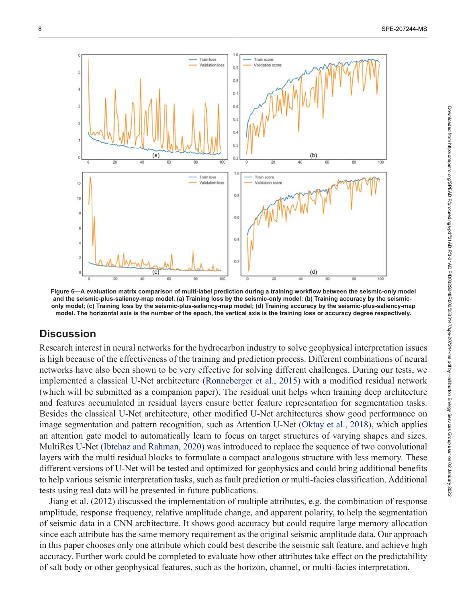<span id="page-7-0"></span>

**Figure 6—A evaluation matrix comparison of multi-label prediction during a training workflow between the seismic-only model and the seismic-plus-saliency-map model. (a) Training loss by the seismic-only model; (b) Training accuracy by the seismiconly model; (c) Training loss by the seismic-plus-saliency-map model; (d) Training accuracy by the seismic-plus-saliency-map model. The horizontal axis is the number of the epoch, the vertical axis is the training loss or accuracy degree respectively.**

### **Discussion**

Research interest in neural networks for the hydrocarbon industry to solve geophysical interpretation issues is high because of the effectiveness of the training and prediction process. Different combinations of neural networks have also been shown to be very effective for solving different challenges. During our tests, we implemented a classical U-Net architecture [\(Ronneberger et al., 2015\)](#page-8-10) with a modified residual network (which will be submitted as a companion paper). The residual unit helps when training deep architecture and features accumulated in residual layers ensure better feature representation for segmentation tasks. Besides the classical U-Net architecture, other modified U-Net architectures show good performance on image segmentation and pattern recognition, such as Attention U-Net ([Oktay et al., 2018](#page-8-11)), which applies an attention gate model to automatically learn to focus on target structures of varying shapes and sizes. MultiRes U-Net [\(Ibtehaz and Rahman, 2020\)](#page-8-12) was introduced to replace the sequence of two convolutional layers with the multi residual blocks to formulate a compact analogous structure with less memory. These different versions of U-Net will be tested and optimized for geophysics and could bring additional benefits to help various seismic interpretation tasks, such as fault prediction or multi-facies classification. Additional tests using real data will be presented in future publications.

Jiang et al. (2012) discussed the implementation of multiple attributes, e.g. the combination of response amplitude, response frequency, relative amplitude change, and apparent polarity, to help the segmentation of seismic data in a CNN architecture. It shows good accuracy but could require large memory allocation since each attribute has the same memory requirement as the original seismic amplitude data. Our approach in this paper chooses only one attribute which could best describe the seismic salt feature, and achieve high accuracy. Further work could be completed to evaluate how other attributes take effect on the predictability of salt body or other geophysical features, such as the horizon, channel, or multi-facies interpretation.